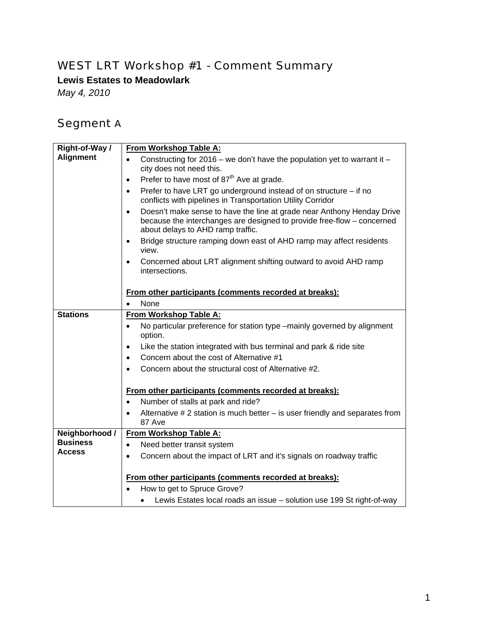#### WEST LRT Workshop #1 - Comment Summary

**Lewis Estates to Meadowlark** 

*May 4, 2010* 

### Segment A

| Right-of-Way /                   | From Workshop Table A:                                                                                                                                                                             |
|----------------------------------|----------------------------------------------------------------------------------------------------------------------------------------------------------------------------------------------------|
| <b>Alignment</b>                 | Constructing for 2016 – we don't have the population yet to warrant it –<br>$\bullet$<br>city does not need this.                                                                                  |
|                                  | Prefer to have most of 87 <sup>th</sup> Ave at grade.<br>$\bullet$                                                                                                                                 |
|                                  | Prefer to have LRT go underground instead of on structure - if no<br>$\bullet$<br>conflicts with pipelines in Transportation Utility Corridor                                                      |
|                                  | Doesn't make sense to have the line at grade near Anthony Henday Drive<br>$\bullet$<br>because the interchanges are designed to provide free-flow - concerned<br>about delays to AHD ramp traffic. |
|                                  | Bridge structure ramping down east of AHD ramp may affect residents<br>$\bullet$<br>view.                                                                                                          |
|                                  | Concerned about LRT alignment shifting outward to avoid AHD ramp<br>$\bullet$<br>intersections.                                                                                                    |
|                                  | From other participants (comments recorded at breaks):                                                                                                                                             |
|                                  | None                                                                                                                                                                                               |
| <b>Stations</b>                  | From Workshop Table A:                                                                                                                                                                             |
|                                  | No particular preference for station type -mainly governed by alignment<br>$\bullet$<br>option.                                                                                                    |
|                                  | Like the station integrated with bus terminal and park & ride site<br>$\bullet$                                                                                                                    |
|                                  | Concern about the cost of Alternative #1<br>$\bullet$                                                                                                                                              |
|                                  | Concern about the structural cost of Alternative #2.<br>$\bullet$                                                                                                                                  |
|                                  | From other participants (comments recorded at breaks):                                                                                                                                             |
|                                  | Number of stalls at park and ride?<br>$\bullet$                                                                                                                                                    |
|                                  | Alternative $# 2$ station is much better $-$ is user friendly and separates from<br>$\bullet$<br>87 Ave                                                                                            |
| Neighborhood /                   | From Workshop Table A:                                                                                                                                                                             |
| <b>Business</b><br><b>Access</b> | Need better transit system<br>$\bullet$                                                                                                                                                            |
|                                  | Concern about the impact of LRT and it's signals on roadway traffic<br>$\bullet$                                                                                                                   |
|                                  | From other participants (comments recorded at breaks):                                                                                                                                             |
|                                  | How to get to Spruce Grove?                                                                                                                                                                        |
|                                  | Lewis Estates local roads an issue - solution use 199 St right-of-way                                                                                                                              |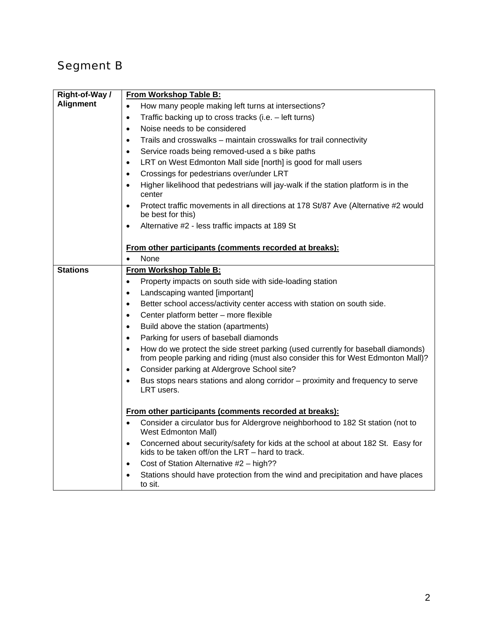## Segment B

| Right-of-Way /   | From Workshop Table B:                                                                                                                                                            |
|------------------|-----------------------------------------------------------------------------------------------------------------------------------------------------------------------------------|
| <b>Alignment</b> | How many people making left turns at intersections?<br>$\bullet$                                                                                                                  |
|                  | Traffic backing up to cross tracks (i.e. - left turns)<br>$\bullet$                                                                                                               |
|                  | Noise needs to be considered<br>$\bullet$                                                                                                                                         |
|                  | Trails and crosswalks - maintain crosswalks for trail connectivity<br>$\bullet$                                                                                                   |
|                  | Service roads being removed-used a s bike paths<br>$\bullet$                                                                                                                      |
|                  | LRT on West Edmonton Mall side [north] is good for mall users<br>$\bullet$                                                                                                        |
|                  | Crossings for pedestrians over/under LRT<br>$\bullet$                                                                                                                             |
|                  | Higher likelihood that pedestrians will jay-walk if the station platform is in the<br>$\bullet$<br>center                                                                         |
|                  | Protect traffic movements in all directions at 178 St/87 Ave (Alternative #2 would<br>$\bullet$<br>be best for this)                                                              |
|                  | Alternative #2 - less traffic impacts at 189 St<br>$\bullet$                                                                                                                      |
|                  | From other participants (comments recorded at breaks):                                                                                                                            |
|                  | None<br>$\bullet$                                                                                                                                                                 |
| <b>Stations</b>  | From Workshop Table B:                                                                                                                                                            |
|                  | Property impacts on south side with side-loading station<br>$\bullet$                                                                                                             |
|                  | Landscaping wanted [important]<br>$\bullet$                                                                                                                                       |
|                  | Better school access/activity center access with station on south side.<br>$\bullet$                                                                                              |
|                  | Center platform better - more flexible<br>$\bullet$                                                                                                                               |
|                  | Build above the station (apartments)<br>$\bullet$                                                                                                                                 |
|                  | Parking for users of baseball diamonds<br>$\bullet$                                                                                                                               |
|                  | How do we protect the side street parking (used currently for baseball diamonds)<br>$\bullet$<br>from people parking and riding (must also consider this for West Edmonton Mall)? |
|                  | Consider parking at Aldergrove School site?<br>$\bullet$                                                                                                                          |
|                  | Bus stops nears stations and along corridor - proximity and frequency to serve<br>$\bullet$<br>LRT users.                                                                         |
|                  | From other participants (comments recorded at breaks):                                                                                                                            |
|                  | Consider a circulator bus for Aldergrove neighborhood to 182 St station (not to<br>$\bullet$<br><b>West Edmonton Mall)</b>                                                        |
|                  | Concerned about security/safety for kids at the school at about 182 St. Easy for<br>$\bullet$<br>kids to be taken off/on the LRT - hard to track.                                 |
|                  | Cost of Station Alternative #2 - high??<br>$\bullet$                                                                                                                              |
|                  | Stations should have protection from the wind and precipitation and have places<br>$\bullet$<br>to sit.                                                                           |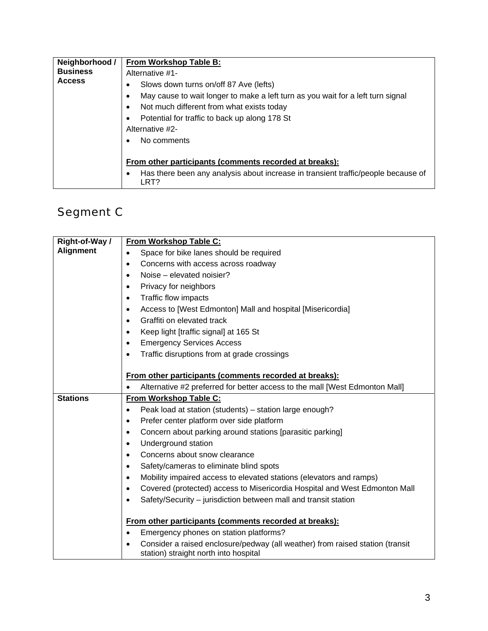| Neighborhood /                   | From Workshop Table B:                                                                                                                                                                                                                                                    |
|----------------------------------|---------------------------------------------------------------------------------------------------------------------------------------------------------------------------------------------------------------------------------------------------------------------------|
| <b>Business</b><br><b>Access</b> | Alternative #1-                                                                                                                                                                                                                                                           |
|                                  | Slows down turns on/off 87 Ave (lefts)<br>٠<br>May cause to wait longer to make a left turn as you wait for a left turn signal<br>Not much different from what exists today<br>$\bullet$<br>Potential for traffic to back up along 178 St<br>$\bullet$<br>Alternative #2- |
|                                  | No comments<br>From other participants (comments recorded at breaks):<br>Has there been any analysis about increase in transient traffic/people because of<br>LRT?                                                                                                        |

# Segment C

| Right-of-Way /   | From Workshop Table C:                                                                                                              |
|------------------|-------------------------------------------------------------------------------------------------------------------------------------|
| <b>Alignment</b> | Space for bike lanes should be required<br>$\bullet$                                                                                |
|                  | Concerns with access across roadway<br>$\bullet$                                                                                    |
|                  | Noise – elevated noisier?                                                                                                           |
|                  | Privacy for neighbors                                                                                                               |
|                  | Traffic flow impacts<br>$\bullet$                                                                                                   |
|                  | Access to [West Edmonton] Mall and hospital [Misericordia]<br>$\bullet$                                                             |
|                  | Graffiti on elevated track<br>$\bullet$                                                                                             |
|                  | Keep light [traffic signal] at 165 St<br>$\bullet$                                                                                  |
|                  | <b>Emergency Services Access</b><br>$\bullet$                                                                                       |
|                  | Traffic disruptions from at grade crossings<br>$\bullet$                                                                            |
|                  |                                                                                                                                     |
|                  | From other participants (comments recorded at breaks):                                                                              |
|                  | Alternative #2 preferred for better access to the mall [West Edmonton Mall]                                                         |
| <b>Stations</b>  | From Workshop Table C:                                                                                                              |
|                  | Peak load at station (students) - station large enough?<br>$\bullet$                                                                |
|                  | Prefer center platform over side platform<br>$\bullet$                                                                              |
|                  | Concern about parking around stations [parasitic parking]<br>$\bullet$                                                              |
|                  | Underground station<br>$\bullet$                                                                                                    |
|                  | Concerns about snow clearance<br>$\bullet$                                                                                          |
|                  | Safety/cameras to eliminate blind spots<br>٠                                                                                        |
|                  | Mobility impaired access to elevated stations (elevators and ramps)<br>$\bullet$                                                    |
|                  | Covered (protected) access to Misericordia Hospital and West Edmonton Mall<br>$\bullet$                                             |
|                  | Safety/Security - jurisdiction between mall and transit station<br>$\bullet$                                                        |
|                  |                                                                                                                                     |
|                  | From other participants (comments recorded at breaks):                                                                              |
|                  | Emergency phones on station platforms?<br>$\bullet$                                                                                 |
|                  | Consider a raised enclosure/pedway (all weather) from raised station (transit<br>$\bullet$<br>station) straight north into hospital |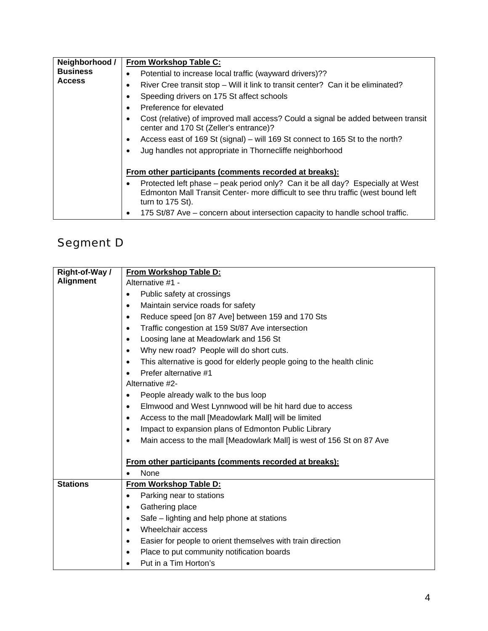| Neighborhood /<br><b>Business</b><br><b>Access</b> | From Workshop Table C:                                                                                                                                                                    |
|----------------------------------------------------|-------------------------------------------------------------------------------------------------------------------------------------------------------------------------------------------|
|                                                    | Potential to increase local traffic (wayward drivers)??                                                                                                                                   |
|                                                    | River Cree transit stop – Will it link to transit center? Can it be eliminated?                                                                                                           |
|                                                    | Speeding drivers on 175 St affect schools                                                                                                                                                 |
|                                                    | Preference for elevated                                                                                                                                                                   |
|                                                    | Cost (relative) of improved mall access? Could a signal be added between transit<br>center and 170 St (Zeller's entrance)?                                                                |
|                                                    | Access east of 169 St (signal) - will 169 St connect to 165 St to the north?<br>٠                                                                                                         |
|                                                    | Jug handles not appropriate in Thornecliffe neighborhood                                                                                                                                  |
|                                                    |                                                                                                                                                                                           |
|                                                    | From other participants (comments recorded at breaks):                                                                                                                                    |
|                                                    | Protected left phase – peak period only? Can it be all day? Especially at West<br>Edmonton Mall Transit Center- more difficult to see thru traffic (west bound left<br>turn to $175$ St). |
|                                                    | 175 St/87 Ave – concern about intersection capacity to handle school traffic.                                                                                                             |

### Segment D

| Right-of-Way /   | From Workshop Table D:                                                              |
|------------------|-------------------------------------------------------------------------------------|
| <b>Alignment</b> | Alternative #1 -                                                                    |
|                  | Public safety at crossings<br>$\bullet$                                             |
|                  | Maintain service roads for safety<br>$\bullet$                                      |
|                  | Reduce speed [on 87 Ave] between 159 and 170 Sts<br>$\bullet$                       |
|                  | Traffic congestion at 159 St/87 Ave intersection<br>$\bullet$                       |
|                  | Loosing lane at Meadowlark and 156 St<br>$\bullet$                                  |
|                  | Why new road? People will do short cuts.<br>$\bullet$                               |
|                  | This alternative is good for elderly people going to the health clinic<br>$\bullet$ |
|                  | Prefer alternative #1<br>$\bullet$                                                  |
|                  | Alternative #2-                                                                     |
|                  | People already walk to the bus loop<br>$\bullet$                                    |
|                  | Elmwood and West Lynnwood will be hit hard due to access<br>$\bullet$               |
|                  | Access to the mall [Meadowlark Mall] will be limited<br>$\bullet$                   |
|                  | Impact to expansion plans of Edmonton Public Library<br>$\bullet$                   |
|                  | Main access to the mall [Meadowlark Mall] is west of 156 St on 87 Ave<br>$\bullet$  |
|                  |                                                                                     |
|                  | From other participants (comments recorded at breaks):                              |
|                  | None<br>$\bullet$                                                                   |
| <b>Stations</b>  | From Workshop Table D:                                                              |
|                  | Parking near to stations<br>$\bullet$                                               |
|                  | Gathering place<br>$\bullet$                                                        |
|                  | Safe – lighting and help phone at stations<br>$\bullet$                             |
|                  | Wheelchair access<br>$\bullet$                                                      |
|                  | Easier for people to orient themselves with train direction<br>$\bullet$            |
|                  | Place to put community notification boards<br>$\bullet$                             |
|                  | Put in a Tim Horton's                                                               |